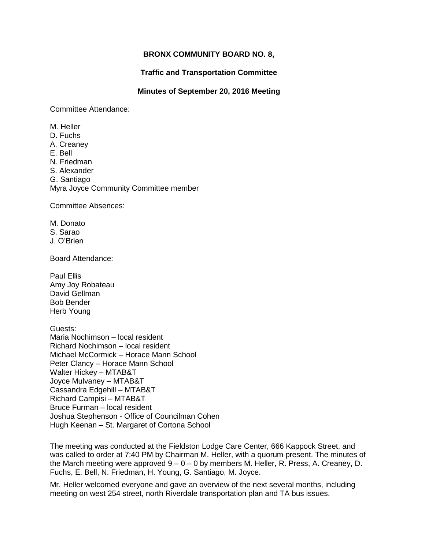## **BRONX COMMUNITY BOARD NO. 8,**

**Traffic and Transportation Committee**

## **Minutes of September 20, 2016 Meeting**

Committee Attendance:

M. Heller D. Fuchs A. Creaney E. Bell N. Friedman S. Alexander G. Santiago Myra Joyce Community Committee member

Committee Absences:

M. Donato S. Sarao J. O'Brien

Board Attendance:

Paul Ellis Amy Joy Robateau David Gellman Bob Bender Herb Young

Guests: Maria Nochimson – local resident Richard Nochimson – local resident Michael McCormick – Horace Mann School Peter Clancy – Horace Mann School Walter Hickey – MTAB&T Joyce Mulvaney – MTAB&T Cassandra Edgehill – MTAB&T Richard Campisi – MTAB&T Bruce Furman – local resident Joshua Stephenson - Office of Councilman Cohen Hugh Keenan – St. Margaret of Cortona School

The meeting was conducted at the Fieldston Lodge Care Center, 666 Kappock Street, and was called to order at 7:40 PM by Chairman M. Heller, with a quorum present. The minutes of the March meeting were approved  $9 - 0 - 0$  by members M. Heller, R. Press, A. Creaney, D. Fuchs, E. Bell, N. Friedman, H. Young, G. Santiago, M. Joyce.

Mr. Heller welcomed everyone and gave an overview of the next several months, including meeting on west 254 street, north Riverdale transportation plan and TA bus issues.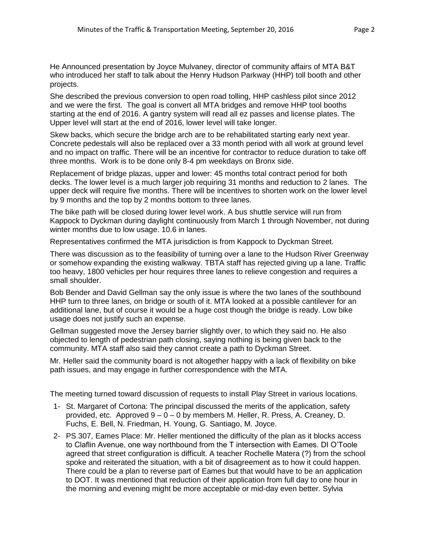He Announced presentation by Joyce Mulvaney, director of community affairs of MTA B&T who introduced her staff to talk about the Henry Hudson Parkway (HHP) toll booth and other projects.

She described the previous conversion to open road tolling, HHP cashless pilot since 2012 and we were the first. The goal is convert all MTA bridges and remove HHP tool booths starting at the end of 2016. A gantry system will read all ez passes and license plates. The Upper level will start at the end of 2016, lower level will take longer.

Skew backs, which secure the bridge arch are to be rehabilitated starting early next year. Concrete pedestals will also be replaced over a 33 month period with all work at ground level and no impact on traffic. There will be an incentive for contractor to reduce duration to take off three months. Work is to be done only 8-4 pm weekdays on Bronx side.

Replacement of bridge plazas, upper and lower: 45 months total contract period for both decks. The lower level is a much larger job requiring 31 months and reduction to 2 lanes. The upper deck will require five months. There will be incentives to shorten work on the lower level by 9 months and the top by 2 months bottom to three lanes.

The bike path will be closed during lower level work. A bus shuttle service will run from Kappock to Dyckman during daylight continuously from March 1 through November, not during winter months due to low usage. 10.6 in lanes.

Representatives confirmed the MTA jurisdiction is from Kappock to Dyckman Street.

There was discussion as to the feasibility of turning over a lane to the Hudson River Greenway or somehow expanding the existing walkway. TBTA staff has rejected giving up a lane. Traffic too heavy, 1800 vehicles per hour requires three lanes to relieve congestion and requires a small shoulder.

Bob Bender and David Gellman say the only issue is where the two lanes of the southbound HHP turn to three lanes, on bridge or south of it. MTA looked at a possible cantilever for an additional lane, but of course it would be a huge cost though the bridge is ready. Low bike usage does not justify such an expense.

Gellman suggested move the Jersey barrier slightly over, to which they said no. He also objected to length of pedestrian path closing, saying nothing is being given back to the community. MTA staff also said they cannot create a path to Dyckman Street.

Mr. Heller said the community board is not altogether happy with a lack of flexibility on bike path issues, and may engage in further correspondence with the MTA.

The meeting turned toward discussion of requests to install Play Street in various locations.

- 1- St. Margaret of Cortona: The principal discussed the merits of the application, safety provided, etc. Approved  $9 - 0 - 0$  by members M. Heller, R. Press, A. Creaney, D. Fuchs, E. Bell, N. Friedman, H. Young, G. Santiago, M. Joyce.
- 2- PS 307, Eames Place: Mr. Heller mentioned the difficulty of the plan as it blocks access to Claflin Avenue, one way northbound from the T intersection with Eames. DI O'Toole agreed that street configuration is difficult. A teacher Rochelle Matera (?) from the school spoke and reiterated the situation, with a bit of disagreement as to how it could happen. There could be a plan to reverse part of Eames but that would have to be an application to DOT. It was mentioned that reduction of their application from full day to one hour in the morning and evening might be more acceptable or mid-day even better. Sylvia